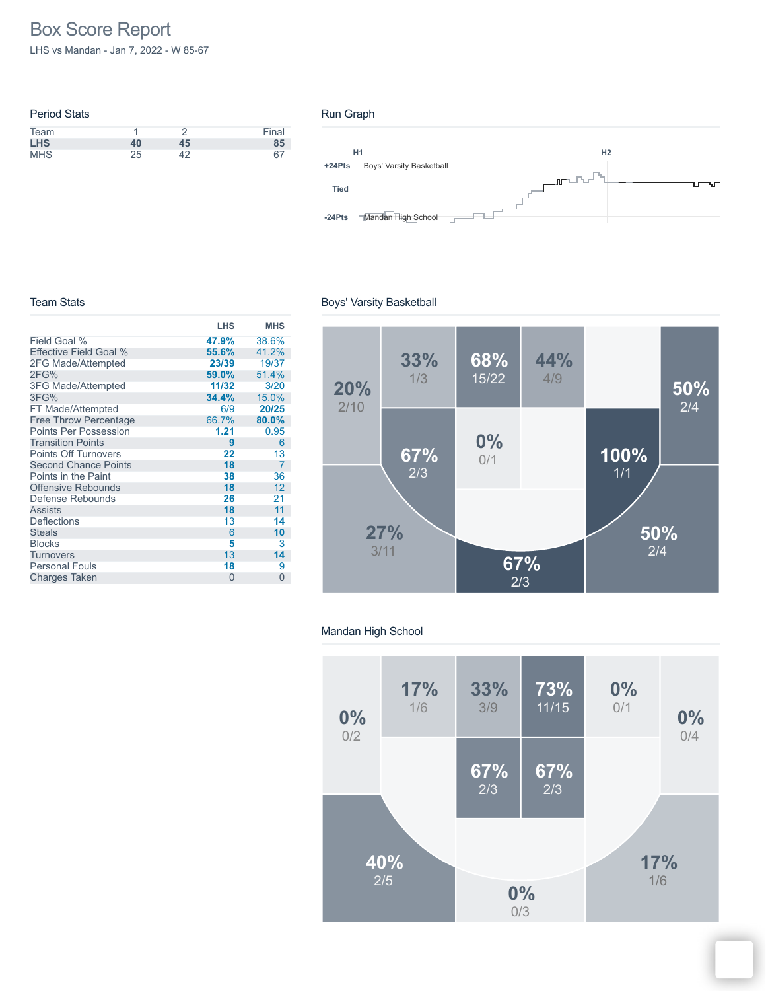# Box Score Report

LHS vs Mandan - Jan 7, 2022 - W 85-67

| <b>Period Stats</b> |    |    |       |
|---------------------|----|----|-------|
| Team                |    |    | Final |
| <b>LHS</b>          | 40 | 45 | 85    |
| <b>MHS</b>          | 25 |    | 67    |

#### Run Graph



#### Team Stats

|                              | <b>LHS</b> | <b>MHS</b>     |
|------------------------------|------------|----------------|
| Field Goal %                 | 47.9%      | 38.6%          |
| Effective Field Goal %       | 55.6%      | 41.2%          |
| 2FG Made/Attempted           | 23/39      | 19/37          |
| 2FG%                         | 59.0%      | 51.4%          |
| <b>3FG Made/Attempted</b>    | 11/32      | 3/20           |
| 3FG%                         | 34.4%      | 15.0%          |
| FT Made/Attempted            | 6/9        | 20/25          |
| <b>Free Throw Percentage</b> | 66.7%      | 80.0%          |
| <b>Points Per Possession</b> | 1.21       | 0.95           |
| <b>Transition Points</b>     | 9          | 6              |
| <b>Points Off Turnovers</b>  | 22         | 13             |
| <b>Second Chance Points</b>  | 18         | $\overline{7}$ |
| Points in the Paint          | 38         | 36             |
| <b>Offensive Rebounds</b>    | 18         | 12             |
| Defense Rebounds             | 26         | 21             |
| <b>Assists</b>               | 18         | 11             |
| <b>Deflections</b>           | 13         | 14             |
| <b>Steals</b>                | 6          | 10             |
| <b>Blocks</b>                | 5          | 3              |
| Turnovers                    | 13         | 14             |
| <b>Personal Fouls</b>        | 18         | 9              |
| <b>Charges Taken</b>         | $\Omega$   | $\overline{0}$ |

# Boys' Varsity Basketball



#### Mandan High School